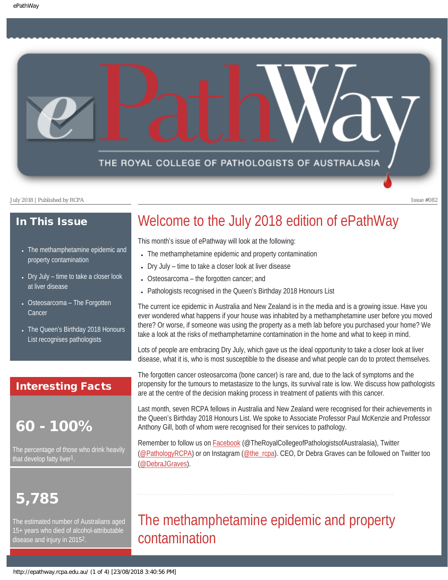

### In This Issue

- The methamphetamine epidemic and property contamination
- $\bullet$  Dry July time to take a closer look at liver disease
- Osteosarcoma The Forgotten **Cancer**
- The Queen's Birthday 2018 Honours List recognises pathologists

### Interesting Facts

### 60 - 100%

The percentage of those who drink heavily that develop fatty liver<sup>1</sup>.

# 5,785

The estimated number of Australians aged 15+ years who died of alcohol-attributable disease and injury in 20152.

# Welcome to the July 2018 edition of ePathWay

This month's issue of ePathway will look at the following:

- The methamphetamine epidemic and property contamination
- Dry July time to take a closer look at liver disease
- Osteosarcoma the forgotten cancer; and
- Pathologists recognised in the Queen's Birthday 2018 Honours List

The current ice epidemic in Australia and New Zealand is in the media and is a growing issue. Have you ever wondered what happens if your house was inhabited by a methamphetamine user before you moved there? Or worse, if someone was using the property as a meth lab before you purchased your home? We take a look at the risks of methamphetamine contamination in the home and what to keep in mind.

Lots of people are embracing Dry July, which gave us the ideal opportunity to take a closer look at liver disease, what it is, who is most susceptible to the disease and what people can do to protect themselves.

The forgotten cancer osteosarcoma (bone cancer) is rare and, due to the lack of symptoms and the propensity for the tumours to metastasize to the lungs, its survival rate is low. We discuss how pathologists are at the centre of the decision making process in treatment of patients with this cancer.

Last month, seven RCPA fellows in Australia and New Zealand were recognised for their achievements in the Queen's Birthday 2018 Honours List. We spoke to Associate Professor Paul McKenzie and Professor Anthony Gill, both of whom were recognised for their services to pathology.

Remember to follow us on [Facebook](https://www.facebook.com/TheRoyalCollegeOfPathologistsOfAustralasia/) (@TheRoyalCollegeofPathologistsofAustralasia), Twitter [\(@PathologyRCPA](https://twitter.com/pathologyrcpa)) or on Instagram [\(@the\\_rcpa](https://www.instagram.com/accounts/login/)). CEO, Dr Debra Graves can be followed on Twitter too [\(@DebraJGraves\)](https://twitter.com/DebraJGraves).

# The methamphetamine epidemic and property contamination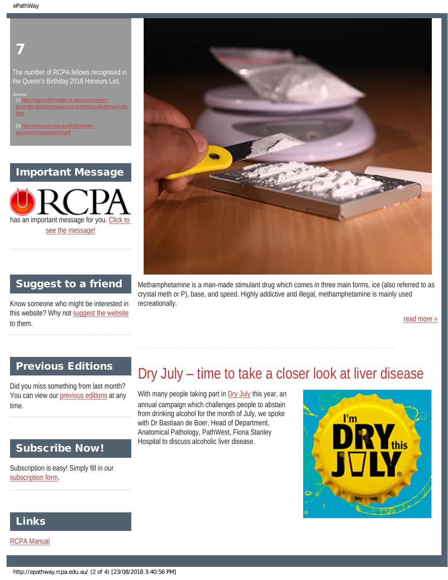## 7

The number of RCPA fellows recognised in the Queen's Birthday 2018 Honours List.

*[1] [http://mapi.betterhealth.vic.gov.au/saywhen/](http://mapi.betterhealth.vic.gov.au/saywhen/know-the-facts/consequences-of-drinking-alcohol-and-the-liver)  [know-the-facts/consequences-of-drinking-alcohol-and-the-](http://mapi.betterhealth.vic.gov.au/saywhen/know-the-facts/consequences-of-drinking-alcohol-and-the-liver)*

*[2] [http://ndri.curtin.edu.au/NDRI/media/](http://ndri.curtin.edu.au/NDRI/media/documents/naip/naip016.pdf)  [documents/naip/naip016.pdf](http://ndri.curtin.edu.au/NDRI/media/documents/naip/naip016.pdf)*

Important Message

has an important message for you. [Click to](http://epathway.rcpa.edu.au/notice.html) [see the message!](http://epathway.rcpa.edu.au/notice.html)



### Suggest to a friend

Know someone who might be interested in this website? Why not [suggest the website](mailto:?Subject=I%20think%20you%20should%20read%20this%20Newsletter=
http://epathway.rcpa.edu.au/index.html) to them.

Methamphetamine is a man-made stimulant drug which comes in three main forms, ice (also referred to as crystal meth or P), base, and speed. Highly addictive and illegal, methamphetamine is mainly used recreationally.

[read more »](#page-7-0)

### Previous Editions

Did you miss something from last month? You can view our [previous editions](#page-4-0) at any time.

### Subscribe Now!

Subscription is easy! Simply fill in our [subscription form](http://epathway.rcpa.edu.au/subscription.html).

## Dry July – time to take a closer look at liver disease

With many people taking part in [Dry July](https://www.dryjuly.com/) this year, an annual campaign which challenges people to abstain from drinking alcohol for the month of July, we spoke with Dr Bastiaan de Boer, Head of Department, Anatomical Pathology, PathWest, Fiona Stanley Hospital to discuss alcoholic liver disease.



### Links

[RCPA Manual](http://rcpamanual.edu.au/)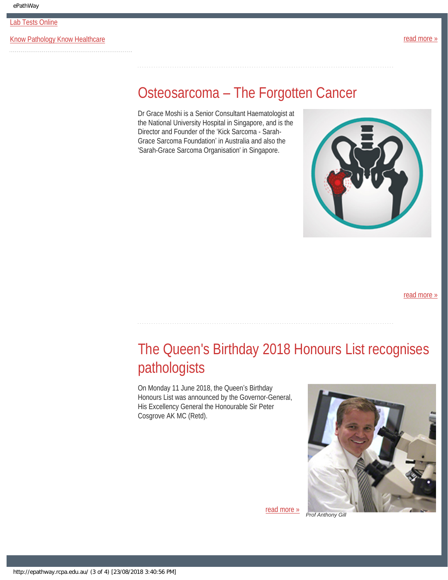[Lab Tests Online](http://www.labtestsonline.org.au/)

[Know Pathology Know Healthcare](http://knowpathology.com.au/) **Example 2018** The structure of the structure of the structure of the structure of the structure of the structure of the structure of the structure of the structure of the structure of the st

## Osteosarcoma – The Forgotten Cancer

Dr Grace Moshi is a Senior Consultant Haematologist at the National University Hospital in Singapore, and is the Director and Founder of the 'Kick Sarcoma - Sarah-Grace Sarcoma Foundation' in Australia and also the 'Sarah-Grace Sarcoma Organisation' in Singapore.



[read more »](#page-13-0)

# The Queen's Birthday 2018 Honours List recognises pathologists

On Monday 11 June 2018, the Queen's Birthday Honours List was announced by the Governor-General, His Excellency General the Honourable Sir Peter Cosgrove AK MC (Retd).



[read more »](#page-16-0)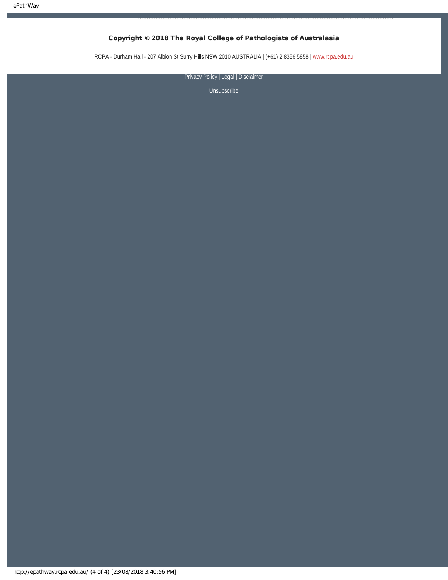RCPA - Durham Hall - 207 Albion St Surry Hills NSW 2010 AUSTRALIA | (+61) 2 8356 5858 | [www.rcpa.edu.au](https://www.rcpa.edu.au/)

[Privacy Policy](https://www.rcpa.edu.au/Privacy-Policy.aspx) | [Legal](https://www.rcpa.edu.au/Legal.aspx) | Disclaimer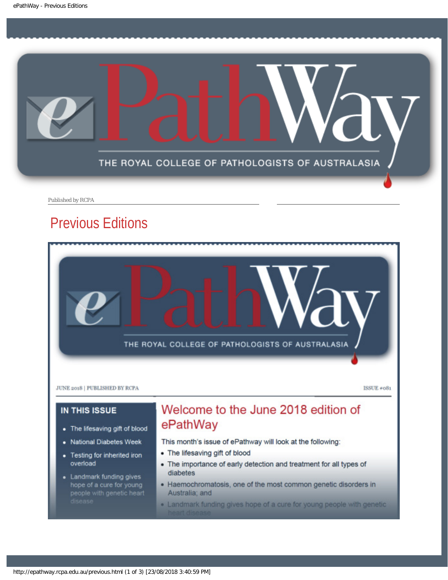<span id="page-4-0"></span>

Published by RCPA

## Previous Editions

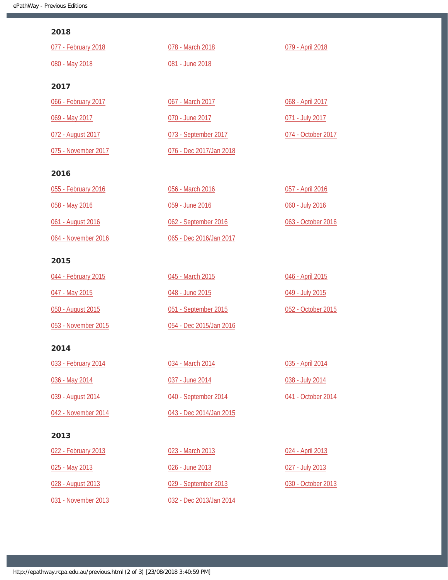#### 2018

| 077 - February 2018 | 078 - March 2018        | 079 - April 2018   |
|---------------------|-------------------------|--------------------|
| 080 - May 2018      | 081 - June 2018         |                    |
| 2017                |                         |                    |
| 066 - February 2017 | 067 - March 2017        | 068 - April 2017   |
| 069 - May 2017      | 070 - June 2017         | 071 - July 2017    |
| 072 - August 2017   | 073 - September 2017    | 074 - October 2017 |
| 075 - November 2017 | 076 - Dec 2017/Jan 2018 |                    |
| 2016                |                         |                    |
| 055 - February 2016 | 056 - March 2016        | 057 - April 2016   |
| 058 - May 2016      | 059 - June 2016         | 060 - July 2016    |
| 061 - August 2016   | 062 - September 2016    | 063 - October 2016 |
| 064 - November 2016 | 065 - Dec 2016/Jan 2017 |                    |
| 2015                |                         |                    |
| 044 - February 2015 | 045 - March 2015        | 046 - April 2015   |
| 047 - May 2015      | 048 - June 2015         | 049 - July 2015    |
| 050 - August 2015   | 051 - September 2015    | 052 - October 2015 |

[053 - November 2015](http://epathway.rcpa.edu.au/previous/053_1115.pdf)

### 2014

| 033 - February 2014 | 034 - March 2014        | 035 - April 2014   |
|---------------------|-------------------------|--------------------|
| 036 - May 2014      | 037 - June 2014         | 038 - July 2014    |
| 039 - August 2014   | 040 - September 2014    | 041 - October 2014 |
| 042 - November 2014 | 043 - Dec 2014/Jan 2015 |                    |

[054 - Dec 2015/Jan 2016](http://epathway.rcpa.edu.au/previous/054_1215.pdf)

### 2013

| 022 - February 2013 | 023 - March 2013        | 024 - April 2013 |
|---------------------|-------------------------|------------------|
| 025 - May 2013      | 026 - June 2013         | 027 - July 2013  |
| 028 - August 2013   | 029 - September 2013    | 030 - October 20 |
| 031 - November 2013 | 032 - Dec 2013/Jan 2014 |                  |

 $\frac{13}{2}$  $r$  2013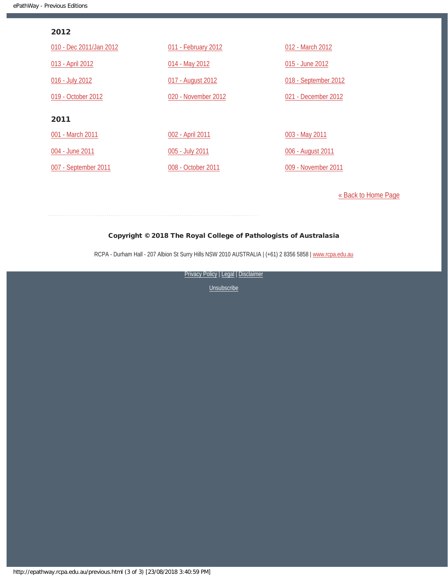#### 2012

| 010 - Dec 2011/Jan 2012 | 011 - February 2012 | 012 - March 2012     |
|-------------------------|---------------------|----------------------|
| 013 - April 2012        | 014 - May 2012      | 015 - June 2012      |
| 016 - July 2012         | 017 - August 2012   | 018 - September 2012 |
| 019 - October 2012      | 020 - November 2012 | 021 - December 2012  |
| 2011                    |                     |                      |
| 001 - March 2011        | 002 - April 2011    | 003 - May 2011       |
| 004 - June 2011         | 005 - July 2011     | 006 - August 2011    |
| 007 - September 2011    | 008 - October 2011  | 009 - November 2011  |

[« Back to Home Page](http://epathway.rcpa.edu.au/index.html)

#### Copyright © 2018 The Royal College of Pathologists of Australasia

RCPA - Durham Hall - 207 Albion St Surry Hills NSW 2010 AUSTRALIA | (+61) 2 8356 5858 | [www.rcpa.edu.au](https://www.rcpa.edu.au/)

[Privacy Policy](https://www.rcpa.edu.au/Content-Library/Privacy.aspx) | [Legal](https://www.rcpa.edu.au/Legal.aspx) | Disclaimer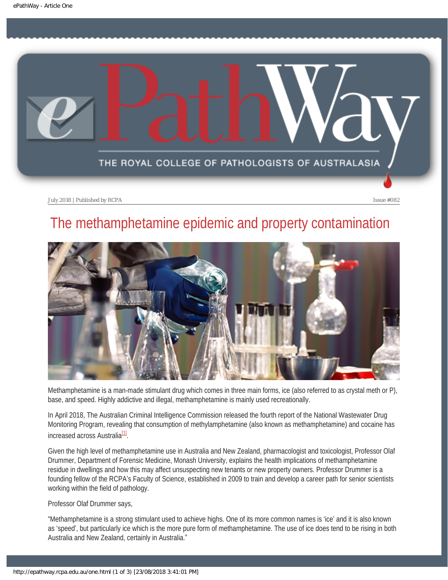<span id="page-7-0"></span>

# The methamphetamine epidemic and property contamination



Methamphetamine is a man-made stimulant drug which comes in three main forms, ice (also referred to as crystal meth or P), base, and speed. Highly addictive and illegal, methamphetamine is mainly used recreationally.

In April 2018, The Australian Criminal Intelligence Commission released the fourth report of the National Wastewater Drug Monitoring Program, revealing that consumption of methylamphetamine (also known as methamphetamine) and cocaine has increased across Australia<sup>[1]</sup>.

Given the high level of methamphetamine use in Australia and New Zealand, pharmacologist and toxicologist, Professor Olaf Drummer, Department of Forensic Medicine, Monash University, explains the health implications of methamphetamine residue in dwellings and how this may affect unsuspecting new tenants or new property owners. Professor Drummer is a founding fellow of the RCPA's Faculty of Science, established in 2009 to train and develop a career path for senior scientists working within the field of pathology.

Professor Olaf Drummer says,

"Methamphetamine is a strong stimulant used to achieve highs. One of its more common names is 'ice' and it is also known as 'speed', but particularly ice which is the more pure form of methamphetamine. The use of ice does tend to be rising in both Australia and New Zealand, certainly in Australia."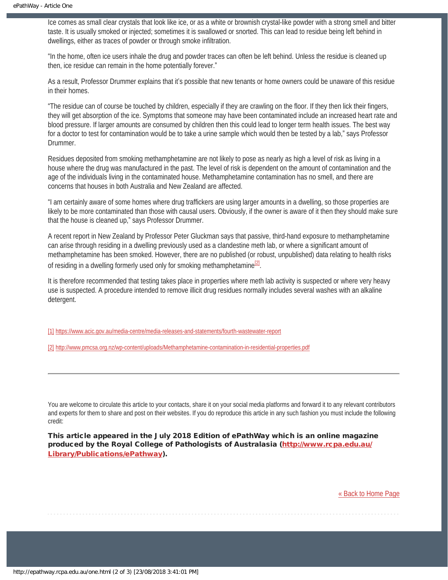Ice comes as small clear crystals that look like ice, or as a white or brownish crystal-like powder with a strong smell and bitter taste. It is usually smoked or injected; sometimes it is swallowed or snorted. This can lead to residue being left behind in dwellings, either as traces of powder or through smoke infiltration.

"In the home, often ice users inhale the drug and powder traces can often be left behind. Unless the residue is cleaned up then, ice residue can remain in the home potentially forever."

As a result, Professor Drummer explains that it's possible that new tenants or home owners could be unaware of this residue in their homes.

"The residue can of course be touched by children, especially if they are crawling on the floor. If they then lick their fingers, they will get absorption of the ice. Symptoms that someone may have been contaminated include an increased heart rate and blood pressure. If larger amounts are consumed by children then this could lead to longer term health issues. The best way for a doctor to test for contamination would be to take a urine sample which would then be tested by a lab," says Professor Drummer.

Residues deposited from smoking methamphetamine are not likely to pose as nearly as high a level of risk as living in a house where the drug was manufactured in the past. The level of risk is dependent on the amount of contamination and the age of the individuals living in the contaminated house. Methamphetamine contamination has no smell, and there are concerns that houses in both Australia and New Zealand are affected.

"I am certainly aware of some homes where drug traffickers are using larger amounts in a dwelling, so those properties are likely to be more contaminated than those with causal users. Obviously, if the owner is aware of it then they should make sure that the house is cleaned up," says Professor Drummer.

A recent report in New Zealand by Professor Peter Gluckman says that passive, third-hand exposure to methamphetamine can arise through residing in a dwelling previously used as a clandestine meth lab, or where a significant amount of methamphetamine has been smoked. However, there are no published (or robust, unpublished) data relating to health risks of residing in a dwelling formerly used only for smoking methamphetamine<sup>[2]</sup>.

It is therefore recommended that testing takes place in properties where meth lab activity is suspected or where very heavy use is suspected. A procedure intended to remove illicit drug residues normally includes several washes with an alkaline detergent.

[1] <https://www.acic.gov.au/media-centre/media-releases-and-statements/fourth-wastewater-report>

[2] <http://www.pmcsa.org.nz/wp-content/uploads/Methamphetamine-contamination-in-residential-properties.pdf>

You are welcome to circulate this article to your contacts, share it on your social media platforms and forward it to any relevant contributors and experts for them to share and post on their websites. If you do reproduce this article in any such fashion you must include the following credit:

This article appeared in the July 2018 Edition of ePathWay which is an online magazine produced by the Royal College of Pathologists of Australasia ([http://www.rcpa.edu.au/](http://www.rcpa.edu.au/Library/Publications/ePathway) [Library/Publications/ePathway\)](http://www.rcpa.edu.au/Library/Publications/ePathway).

[« Back to Home Page](http://epathway.rcpa.edu.au/index.html)

http://epathway.rcpa.edu.au/one.html (2 of 3) [23/08/2018 3:41:01 PM]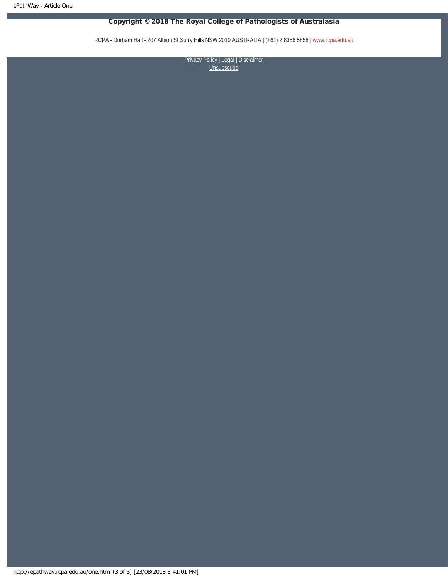RCPA - Durham Hall - 207 Albion St Surry Hills NSW 2010 AUSTRALIA | (+61) 2 8356 5858 | [www.rcpa.edu.au](https://www.rcpa.edu.au/)

[Privacy Policy](https://www.rcpa.edu.au/Content-Library/Privacy.aspx) | [Legal](https://www.rcpa.edu.au/Legal.aspx) | [Disclaimer](https://www.rcpa.edu.au/Disclaimer.aspx) **[Unsubscribe](http://epathway.rcpa.edu.au/subscription.html)**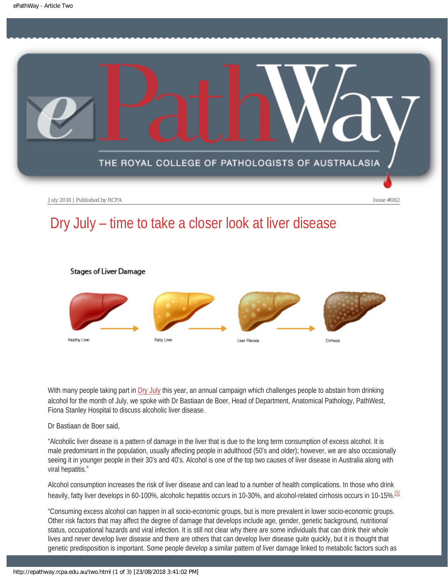<span id="page-10-0"></span>

Stages of Liver Damage

# Dry July – time to take a closer look at liver disease



With many people taking part in [Dry July](https://www.dryjuly.com/) this year, an annual campaign which challenges people to abstain from drinking alcohol for the month of July, we spoke with Dr Bastiaan de Boer, Head of Department, Anatomical Pathology, PathWest, Fiona Stanley Hospital to discuss alcoholic liver disease.

Dr Bastiaan de Boer said,

"Alcoholic liver disease is a pattern of damage in the liver that is due to the long term consumption of excess alcohol. It is male predominant in the population, usually affecting people in adulthood (50's and older); however, we are also occasionally seeing it in younger people in their 30's and 40's. Alcohol is one of the top two causes of liver disease in Australia along with viral hepatitis."

Alcohol consumption increases the risk of liver disease and can lead to a number of health complications. In those who drink heavily, fatty liver develops in 60-100%, alcoholic hepatitis occurs in 10-30%, and alcohol-related cirrhosis occurs in 10-15%. <sup>[\[1\]](#page-11-0)</sup>

<span id="page-10-1"></span>"Consuming excess alcohol can happen in all socio-economic groups, but is more prevalent in lower socio-economic groups. Other risk factors that may affect the degree of damage that develops include age, gender, genetic background, nutritional status, occupational hazards and viral infection. It is still not clear why there are some individuals that can drink their whole lives and never develop liver disease and there are others that can develop liver disease quite quickly, but it is thought that genetic predisposition is important. Some people develop a similar pattern of liver damage linked to metabolic factors such as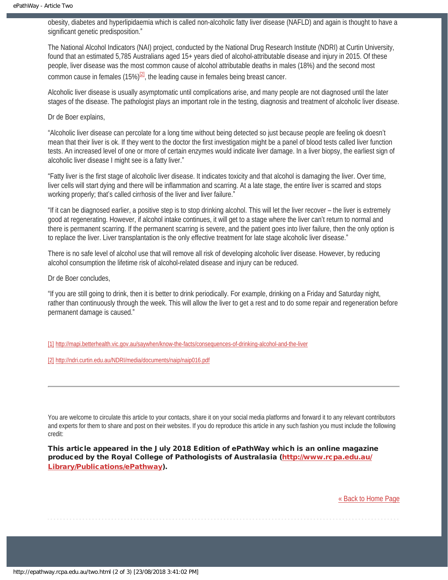obesity, diabetes and hyperlipidaemia which is called non-alcoholic fatty liver disease (NAFLD) and again is thought to have a significant genetic predisposition."

The National Alcohol Indicators (NAI) project, conducted by the National Drug Research Institute (NDRI) at Curtin University, found that an estimated 5,785 Australians aged 15+ years died of alcohol-attributable disease and injury in 2015. Of these people, liver disease was the most common cause of alcohol attributable deaths in males (18%) and the second most common cause in females (15%) $^{[2]}$ , the leading cause in females being breast cancer.

<span id="page-11-2"></span>Alcoholic liver disease is usually asymptomatic until complications arise, and many people are not diagnosed until the later stages of the disease. The pathologist plays an important role in the testing, diagnosis and treatment of alcoholic liver disease.

Dr de Boer explains,

"Alcoholic liver disease can percolate for a long time without being detected so just because people are feeling ok doesn't mean that their liver is ok. If they went to the doctor the first investigation might be a panel of blood tests called liver function tests. An increased level of one or more of certain enzymes would indicate liver damage. In a liver biopsy, the earliest sign of alcoholic liver disease I might see is a fatty liver."

"Fatty liver is the first stage of alcoholic liver disease. It indicates toxicity and that alcohol is damaging the liver. Over time, liver cells will start dying and there will be inflammation and scarring. At a late stage, the entire liver is scarred and stops working properly; that's called cirrhosis of the liver and liver failure."

"If it can be diagnosed earlier, a positive step is to stop drinking alcohol. This will let the liver recover – the liver is extremely good at regenerating. However, if alcohol intake continues, it will get to a stage where the liver can't return to normal and there is permanent scarring. If the permanent scarring is severe, and the patient goes into liver failure, then the only option is to replace the liver. Liver transplantation is the only effective treatment for late stage alcoholic liver disease."

There is no safe level of alcohol use that will remove all risk of developing alcoholic liver disease. However, by reducing alcohol consumption the lifetime risk of alcohol-related disease and injury can be reduced.

Dr de Boer concludes,

"If you are still going to drink, then it is better to drink periodically. For example, drinking on a Friday and Saturday night, rather than continuously through the week. This will allow the liver to get a rest and to do some repair and regeneration before permanent damage is caused."

<span id="page-11-0"></span>[\[1\]](#page-10-1) <http://mapi.betterhealth.vic.gov.au/saywhen/know-the-facts/consequences-of-drinking-alcohol-and-the-liver>

<span id="page-11-1"></span>[\[2\]](#page-11-2) <http://ndri.curtin.edu.au/NDRI/media/documents/naip/naip016.pdf>

You are welcome to circulate this article to your contacts, share it on your social media platforms and forward it to any relevant contributors and experts for them to share and post on their websites. If you do reproduce this article in any such fashion you must include the following credit:

This article appeared in the July 2018 Edition of ePathWay which is an online magazine produced by the Royal College of Pathologists of Australasia ([http://www.rcpa.edu.au/](http://www.rcpa.edu.au/Library/Publications/ePathway) [Library/Publications/ePathway\)](http://www.rcpa.edu.au/Library/Publications/ePathway).

[« Back to Home Page](http://epathway.rcpa.edu.au/index.html)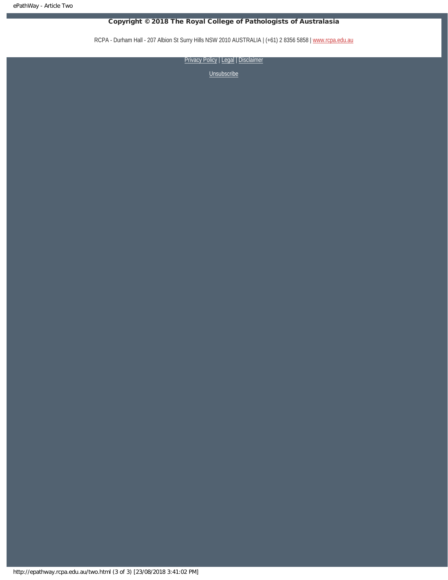RCPA - Durham Hall - 207 Albion St Surry Hills NSW 2010 AUSTRALIA | (+61) 2 8356 5858 | [www.rcpa.edu.au](https://www.rcpa.edu.au/)

[Privacy Policy](https://www.rcpa.edu.au/Content-Library/Privacy.aspx) | [Legal](https://www.rcpa.edu.au/Legal.aspx) | Disclaimer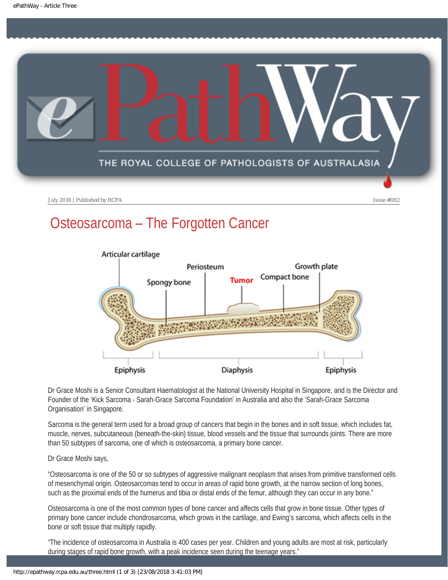<span id="page-13-0"></span>

# Osteosarcoma – The Forgotten Cancer



Dr Grace Moshi is a Senior Consultant Haematologist at the National University Hospital in Singapore, and is the Director and Founder of the 'Kick Sarcoma - Sarah-Grace Sarcoma Foundation' in Australia and also the 'Sarah-Grace Sarcoma Organisation' in Singapore.

Sarcoma is the general term used for a broad group of cancers that begin in the bones and in soft tissue, which includes fat, muscle, nerves, subcutaneous (beneath-the-skin) tissue, blood vessels and the tissue that surrounds joints. There are more than 50 subtypes of sarcoma, one of which is osteosarcoma, a primary bone cancer.

#### Dr Grace Moshi says,

"Osteosarcoma is one of the 50 or so subtypes of aggressive malignant neoplasm that arises from primitive transformed cells of mesenchymal origin. Osteosarcomas tend to occur in areas of rapid bone growth, at the narrow section of long bones, such as the proximal ends of the humerus and tibia or distal ends of the femur, although they can occur in any bone."

Osteosarcoma is one of the most common types of bone cancer and affects cells that grow in bone tissue. Other types of primary bone cancer include chondrosarcoma, which grows in the cartilage, and Ewing's sarcoma, which affects cells in the bone or soft tissue that multiply rapidly.

"The incidence of osteosarcoma in Australia is 400 cases per year. Children and young adults are most at risk, particularly during stages of rapid bone growth, with a peak incidence seen during the teenage years."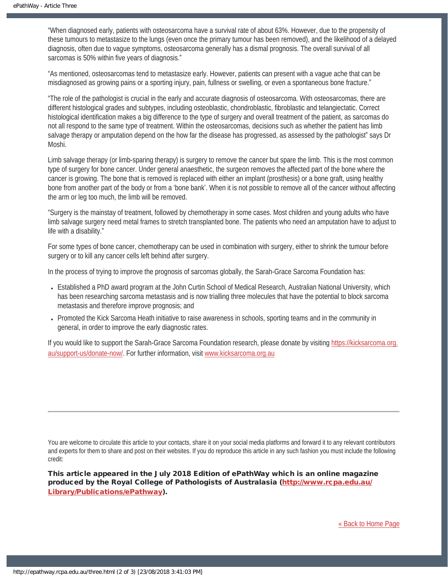"When diagnosed early, patients with osteosarcoma have a survival rate of about 63%. However, due to the propensity of these tumours to metastasize to the lungs (even once the primary tumour has been removed), and the likelihood of a delayed diagnosis, often due to vague symptoms, osteosarcoma generally has a dismal prognosis. The overall survival of all sarcomas is 50% within five years of diagnosis."

"As mentioned, osteosarcomas tend to metastasize early. However, patients can present with a vague ache that can be misdiagnosed as growing pains or a sporting injury, pain, fullness or swelling, or even a spontaneous bone fracture."

"The role of the pathologist is crucial in the early and accurate diagnosis of osteosarcoma. With osteosarcomas, there are different histological grades and subtypes, including osteoblastic, chondroblastic, fibroblastic and telangiectatic. Correct histological identification makes a big difference to the type of surgery and overall treatment of the patient, as sarcomas do not all respond to the same type of treatment. Within the osteosarcomas, decisions such as whether the patient has limb salvage therapy or amputation depend on the how far the disease has progressed, as assessed by the pathologist" says Dr Moshi.

Limb salvage therapy (or limb-sparing therapy) is surgery to remove the cancer but spare the limb. This is the most common type of surgery for bone cancer. Under general anaesthetic, the surgeon removes the affected part of the bone where the cancer is growing. The bone that is removed is replaced with either an implant (prosthesis) or a bone graft, using healthy bone from another part of the body or from a 'bone bank'. When it is not possible to remove all of the cancer without affecting the arm or leg too much, the limb will be removed.

"Surgery is the mainstay of treatment, followed by chemotherapy in some cases. Most children and young adults who have limb salvage surgery need metal frames to stretch transplanted bone. The patients who need an amputation have to adjust to life with a disability."

For some types of bone cancer, chemotherapy can be used in combination with surgery, either to shrink the tumour before surgery or to kill any cancer cells left behind after surgery.

In the process of trying to improve the prognosis of sarcomas globally, the Sarah-Grace Sarcoma Foundation has:

- Established a PhD award program at the John Curtin School of Medical Research, Australian National University, which has been researching sarcoma metastasis and is now trialling three molecules that have the potential to block sarcoma metastasis and therefore improve prognosis; and
- Promoted the Kick Sarcoma Heath initiative to raise awareness in schools, sporting teams and in the community in general, in order to improve the early diagnostic rates.

If you would like to support the Sarah-Grace Sarcoma Foundation research, please donate by visiting [https://kicksarcoma.org.](https://kicksarcoma.org.au/support-us/donate-now/) [au/support-us/donate-now/.](https://kicksarcoma.org.au/support-us/donate-now/) For further information, visit [www.kicksarcoma.org.au](http://www.kicksarcoma.org.au/)

You are welcome to circulate this article to your contacts, share it on your social media platforms and forward it to any relevant contributors and experts for them to share and post on their websites. If you do reproduce this article in any such fashion you must include the following credit:

This article appeared in the July 2018 Edition of ePathWay which is an online magazine produced by the Royal College of Pathologists of Australasia ([http://www.rcpa.edu.au/](http://www.rcpa.edu.au/Library/Publications/ePathway) [Library/Publications/ePathway\)](http://www.rcpa.edu.au/Library/Publications/ePathway).

[« Back to Home Page](http://epathway.rcpa.edu.au/index.html)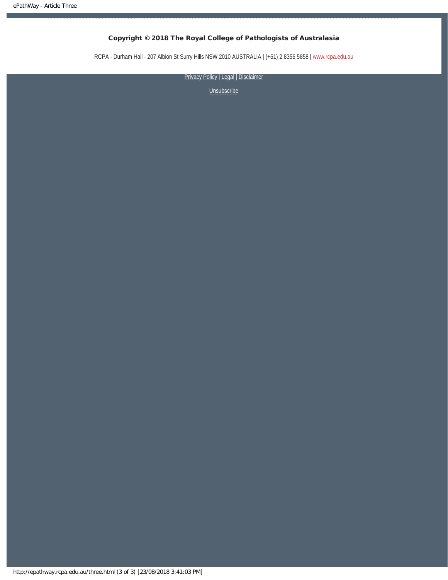RCPA - Durham Hall - 207 Albion St Surry Hills NSW 2010 AUSTRALIA | (+61) 2 8356 5858 | [www.rcpa.edu.au](https://www.rcpa.edu.au/)

[Privacy Policy](https://www.rcpa.edu.au/Content-Library/Privacy.aspx) | [Legal](https://www.rcpa.edu.au/Legal.aspx) | Disclaimer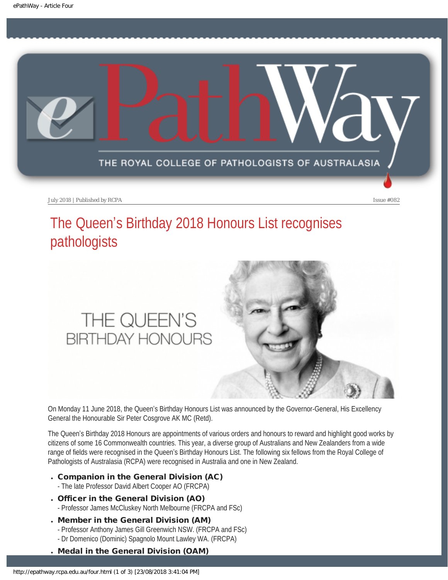<span id="page-16-0"></span>

# The Queen's Birthday 2018 Honours List recognises pathologists

# THE QUEEN'S **BIRTHDAY HONOURS**



On Monday 11 June 2018, the Queen's Birthday Honours List was announced by the Governor-General, His Excellency General the Honourable Sir Peter Cosgrove AK MC (Retd).

The Queen's Birthday 2018 Honours are appointments of various orders and honours to reward and highlight good works by citizens of some 16 Commonwealth countries. This year, a diverse group of Australians and New Zealanders from a wide range of fields were recognised in the Queen's Birthday Honours List. The following six fellows from the Royal College of Pathologists of Australasia (RCPA) were recognised in Australia and one in New Zealand.

- . Companion in the General Division (AC)
	- The late Professor David Albert Cooper AO (FRCPA)
- . Officer in the General Division (AO) - Professor James McCluskey North Melbourne (FRCPA and FSc)
- . Member in the General Division (AM) - Professor Anthony James Gill Greenwich NSW. (FRCPA and FSc)
	-
- Dr Domenico (Dominic) Spagnolo Mount Lawley WA. (FRCPA)
- . Medal in the General Division (OAM)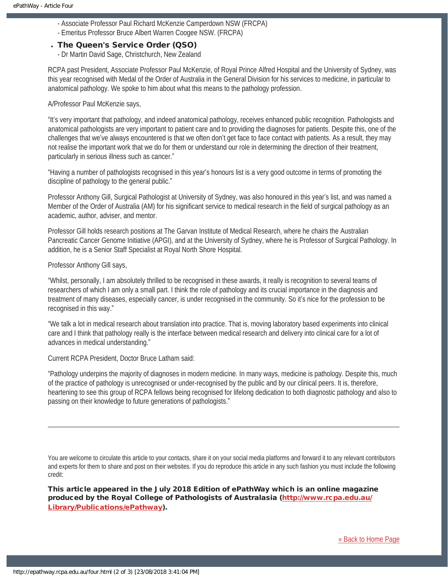- Associate Professor Paul Richard McKenzie Camperdown NSW (FRCPA)
- Emeritus Professor Bruce Albert Warren Coogee NSW. (FRCPA)

#### . The Queen's Service Order (QSO)

- Dr Martin David Sage, Christchurch, New Zealand

RCPA past President, Associate Professor Paul McKenzie, of Royal Prince Alfred Hospital and the University of Sydney, was this year recognised with Medal of the Order of Australia in the General Division for his services to medicine, in particular to anatomical pathology. We spoke to him about what this means to the pathology profession.

A/Professor Paul McKenzie says,

"It's very important that pathology, and indeed anatomical pathology, receives enhanced public recognition. Pathologists and anatomical pathologists are very important to patient care and to providing the diagnoses for patients. Despite this, one of the challenges that we've always encountered is that we often don't get face to face contact with patients. As a result, they may not realise the important work that we do for them or understand our role in determining the direction of their treatment, particularly in serious illness such as cancer."

"Having a number of pathologists recognised in this year's honours list is a very good outcome in terms of promoting the discipline of pathology to the general public."

Professor Anthony Gill, Surgical Pathologist at University of Sydney, was also honoured in this year's list, and was named a Member of the Order of Australia (AM) for his significant service to medical research in the field of surgical pathology as an academic, author, adviser, and mentor.

Professor Gill holds research positions at The Garvan Institute of Medical Research, where he chairs the Australian Pancreatic Cancer Genome Initiative (APGI), and at the University of Sydney, where he is Professor of Surgical Pathology. In addition, he is a Senior Staff Specialist at Royal North Shore Hospital.

#### Professor Anthony Gill says,

"Whilst, personally, I am absolutely thrilled to be recognised in these awards, it really is recognition to several teams of researchers of which I am only a small part. I think the role of pathology and its crucial importance in the diagnosis and treatment of many diseases, especially cancer, is under recognised in the community. So it's nice for the profession to be recognised in this way."

"We talk a lot in medical research about translation into practice. That is, moving laboratory based experiments into clinical care and I think that pathology really is the interface between medical research and delivery into clinical care for a lot of advances in medical understanding."

Current RCPA President, Doctor Bruce Latham said:

"Pathology underpins the majority of diagnoses in modern medicine. In many ways, medicine is pathology. Despite this, much of the practice of pathology is unrecognised or under-recognised by the public and by our clinical peers. It is, therefore, heartening to see this group of RCPA fellows being recognised for lifelong dedication to both diagnostic pathology and also to passing on their knowledge to future generations of pathologists."

You are welcome to circulate this article to your contacts, share it on your social media platforms and forward it to any relevant contributors and experts for them to share and post on their websites. If you do reproduce this article in any such fashion you must include the following credit:

This article appeared in the July 2018 Edition of ePathWay which is an online magazine produced by the Royal College of Pathologists of Australasia ([http://www.rcpa.edu.au/](http://www.rcpa.edu.au/Library/Publications/ePathway) [Library/Publications/ePathway\)](http://www.rcpa.edu.au/Library/Publications/ePathway).